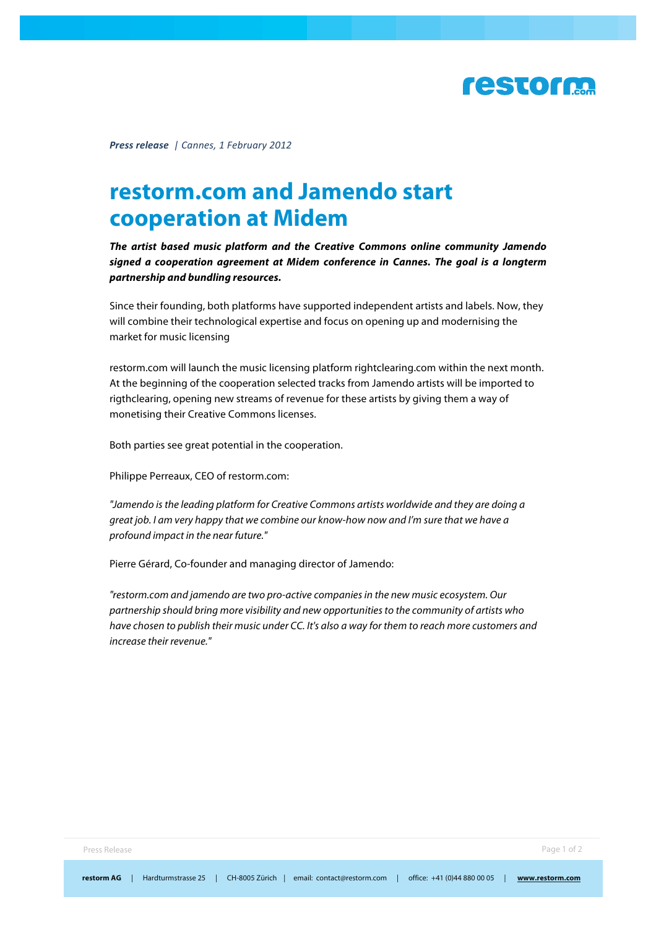

*Press%release!!|!Cannes,!1 February 2012*

### **restorm.com and Jamendo start cooperation at Midem**

*The artist based music platform and the Creative Commons online community Jamendo signed a cooperation agreement at Midem conference in Cannes. The goal is a longterm partnership and bundling resources.*

Since their founding, both platforms have supported independent artists and labels. Now, they will combine their technological expertise and focus on opening up and modernising the market for music licensing

restorm.com will launch the music licensing platform rightclearing.com within the next month. At the beginning of the cooperation selected tracks from Jamendo artists will be imported to rigthclearing, opening new streams of revenue for these artists by giving them a way of monetising their Creative Commons licenses.

Both parties see great potential in the cooperation.

Philippe Perreaux, CEO of restorm.com:

*"Jamendo is the leading platform for Creative Commons artists worldwide and they are doing a great job. I am very happy that we combine our know-how now and I'm sure that we have a profound impact in the near future."*

Pierre Gérard, Co-founder and managing director of Jamendo:

*"restorm.com and jamendo are two pro-active companies in the new music ecosystem. Our partnership should bring more visibility and new opportunities to the community of artists who have chosen to publish their music under CC. It's also a way for them to reach more customers and increase their revenue."*

Press Release Page 1 of 2 and 2 and 2 and 2 and 2 and 2 and 2 and 2 and 2 and 2 and 2 and 2 and 2 and 2 and 2 and 2 and 2 and 2 and 2 and 2 and 2 and 2 and 2 and 2 and 2 and 2 and 2 and 2 and 2 and 2 and 2 and 2 and 2 and